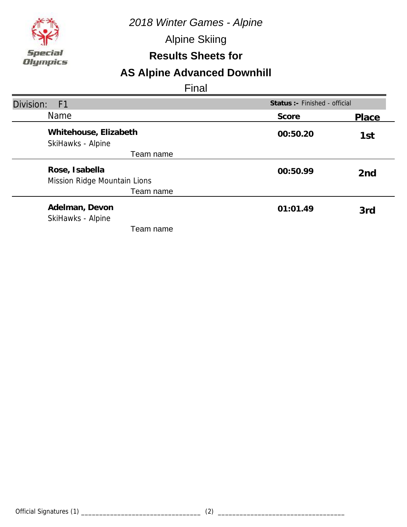*2018 Winter Games - Alpine*

Alpine Skiing

### **Results Sheets for**

# **AS Alpine Advanced Downhill**

| Division:<br>F <sub>1</sub>                    |          | Status :- Finished - official |  |
|------------------------------------------------|----------|-------------------------------|--|
| <b>Name</b>                                    | Score    | Place                         |  |
| Whitehouse, Elizabeth<br>SkiHawks - Alpine     | 00:50.20 | 1st                           |  |
| Team name                                      |          |                               |  |
| Rose, Isabella<br>Mission Ridge Mountain Lions | 00:50.99 | 2 <sub>nd</sub>               |  |
| Team name                                      |          |                               |  |
| Adelman, Devon<br>SkiHawks - Alpine            | 01:01.49 | 3rd                           |  |
| Team name                                      |          |                               |  |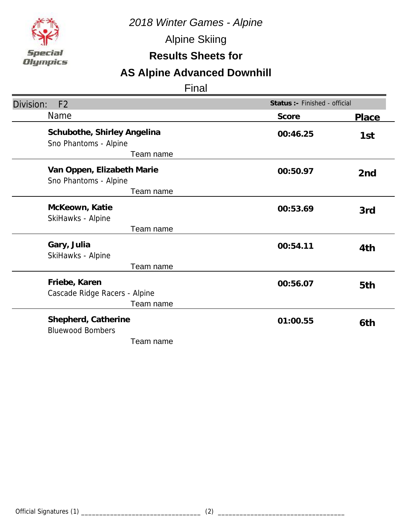

Alpine Skiing

### **Results Sheets for**

# **AS Alpine Advanced Downhill**

| Division:<br>F <sub>2</sub>                                       | Status :- Finished - official |                 |
|-------------------------------------------------------------------|-------------------------------|-----------------|
| <b>Name</b>                                                       | Score                         | Place           |
| Schubothe, Shirley Angelina<br>Sno Phantoms - Alpine<br>Team name | 00:46.25                      | 1st             |
| Van Oppen, Elizabeth Marie<br>Sno Phantoms - Alpine<br>Team name  | 00:50.97                      | 2 <sub>nd</sub> |
| McKeown, Katie<br>SkiHawks - Alpine                               | 00:53.69                      | 3rd             |
| Team name                                                         |                               |                 |
| Gary, Julia<br>SkiHawks - Alpine                                  | 00:54.11                      | 4th             |
| Team name                                                         |                               |                 |
| Friebe, Karen<br>Cascade Ridge Racers - Alpine<br>Team name       | 00:56.07                      | 5th             |
| Shepherd, Catherine<br><b>Bluewood Bombers</b><br>Team name       | 01:00.55                      | 6th             |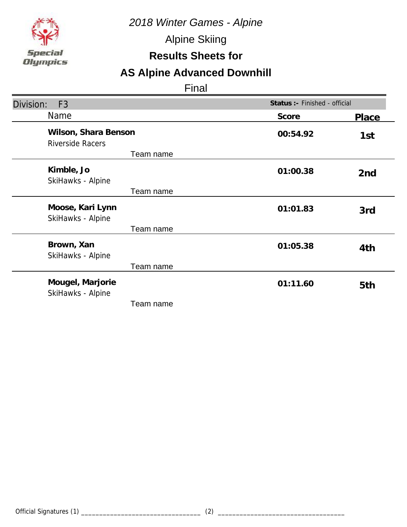*2018 Winter Games - Alpine*

Alpine Skiing

### **Results Sheets for**

# **AS Alpine Advanced Downhill**

| Division:<br>F <sub>3</sub>                     | Status :- Finished - official |                 |
|-------------------------------------------------|-------------------------------|-----------------|
| Name                                            | Score                         | Place           |
| Wilson, Shara Benson<br><b>Riverside Racers</b> | 00:54.92                      | 1st             |
| Team name                                       |                               |                 |
| Kimble, Jo<br>SkiHawks - Alpine                 | 01:00.38                      | 2 <sub>nd</sub> |
| Team name                                       |                               |                 |
| Moose, Kari Lynn<br>SkiHawks - Alpine           | 01:01.83                      | 3rd             |
| Team name                                       |                               |                 |
| Brown, Xan<br>SkiHawks - Alpine                 | 01:05.38                      | 4th             |
| Team name                                       |                               |                 |
| Mougel, Marjorie<br>SkiHawks - Alpine           | 01:11.60                      | 5th             |
| Team name                                       |                               |                 |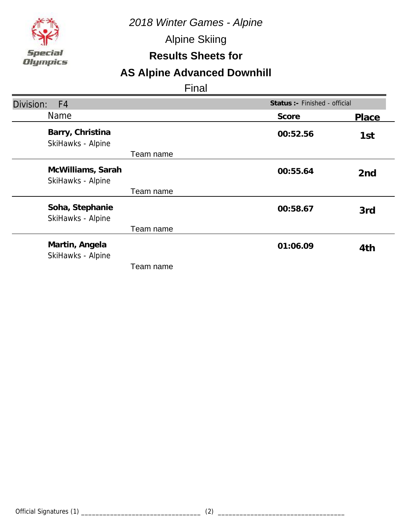

Alpine Skiing

### **Results Sheets for**

# **AS Alpine Advanced Downhill**

| Division:<br>F <sub>4</sub>            | Status :- Finished - official |                 |
|----------------------------------------|-------------------------------|-----------------|
| Name                                   | Score                         | Place           |
| Barry, Christina<br>SkiHawks - Alpine  | 00:52.56                      | 1st             |
| Team name                              |                               |                 |
| McWilliams, Sarah<br>SkiHawks - Alpine | 00:55.64                      | 2 <sub>nd</sub> |
| Team name                              |                               |                 |
| Soha, Stephanie<br>SkiHawks - Alpine   | 00:58.67                      | 3rd             |
| Team name                              |                               |                 |
| Martin, Angela<br>SkiHawks - Alpine    | 01:06.09                      | 4th             |
| Team name                              |                               |                 |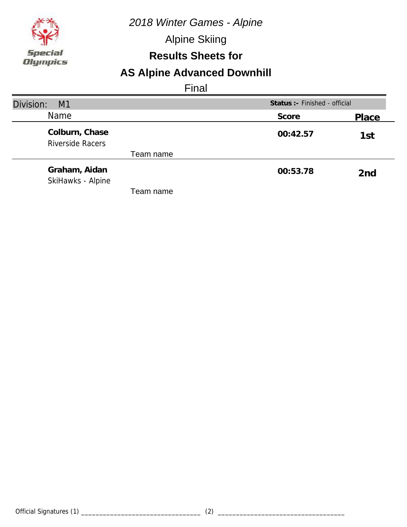*2018 Winter Games - Alpine*

Alpine Skiing

### **Results Sheets for**

# **AS Alpine Advanced Downhill**

| Division:<br>M <sub>1</sub>               | Status : - Finished - official |                 |
|-------------------------------------------|--------------------------------|-----------------|
| Name                                      | Score                          | Place           |
| Colburn, Chase<br><b>Riverside Racers</b> | 00:42.57                       | 1st             |
| Team name                                 |                                |                 |
| Graham, Aidan<br>SkiHawks - Alpine        | 00:53.78                       | 2 <sub>nd</sub> |
| Team name                                 |                                |                 |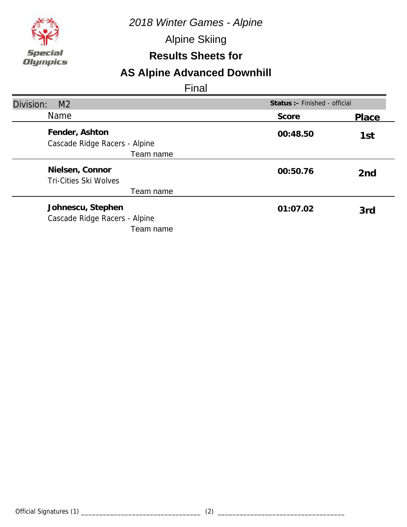

Alpine Skiing

### **Results Sheets for**

# **AS Alpine Advanced Downhill**

| Division:<br>M <sub>2</sub>                                     |          | Status :- Finished - official |  |
|-----------------------------------------------------------------|----------|-------------------------------|--|
| <b>Name</b>                                                     | Score    | Place                         |  |
| Fender, Ashton<br>Cascade Ridge Racers - Alpine                 | 00:48.50 | 1st                           |  |
| Team name                                                       |          |                               |  |
| Nielsen, Connor<br>Tri-Cities Ski Wolves                        | 00:50.76 | 2 <sub>nd</sub>               |  |
| Team name                                                       |          |                               |  |
| Johnescu, Stephen<br>Cascade Ridge Racers - Alpine<br>Team name | 01:07.02 | 3rd                           |  |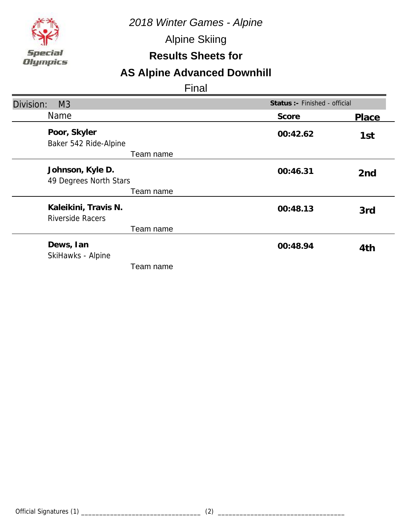

Alpine Skiing

### **Results Sheets for**

# **AS Alpine Advanced Downhill**

| Division:<br>M <sub>3</sub>                     | Status :- Finished - official |                 |
|-------------------------------------------------|-------------------------------|-----------------|
| Name                                            | Score                         | Place           |
| Poor, Skyler<br>Baker 542 Ride-Alpine           | 00:42.62                      | 1st             |
| Team name                                       |                               |                 |
| Johnson, Kyle D.<br>49 Degrees North Stars      | 00:46.31                      | 2 <sub>nd</sub> |
| Team name                                       |                               |                 |
| Kaleikini, Travis N.<br><b>Riverside Racers</b> | 00:48.13                      | 3rd             |
| Team name                                       |                               |                 |
| Dews, Ian<br>SkiHawks - Alpine                  | 00:48.94                      | 4th             |
| Team name                                       |                               |                 |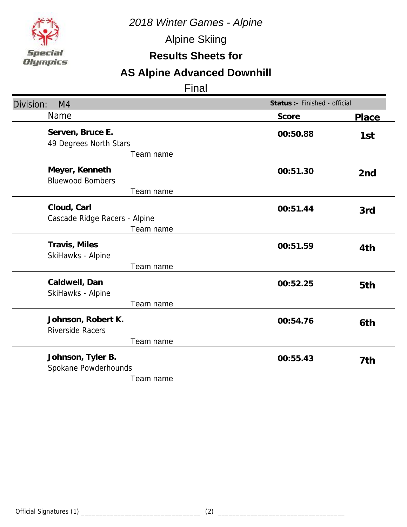

Alpine Skiing

### **Results Sheets for**

# **AS Alpine Advanced Downhill**

| Division:<br>M <sub>4</sub>                                | Status :- Finished - official |                 |
|------------------------------------------------------------|-------------------------------|-----------------|
| Name                                                       | Score                         | <b>Place</b>    |
| Serven, Bruce E.<br>49 Degrees North Stars<br>Team name    | 00:50.88                      | 1st             |
| Meyer, Kenneth<br><b>Bluewood Bombers</b><br>Team name     | 00:51.30                      | 2 <sub>nd</sub> |
| Cloud, Carl<br>Cascade Ridge Racers - Alpine<br>Team name  | 00:51.44                      | 3rd             |
| Travis, Miles<br>SkiHawks - Alpine<br>Team name            | 00:51.59                      | 4th             |
| Caldwell, Dan<br>SkiHawks - Alpine<br>Team name            | 00:52.25                      | 5th             |
| Johnson, Robert K.<br><b>Riverside Racers</b><br>Team name | 00:54.76                      | 6th             |
| Johnson, Tyler B.<br>Spokane Powderhounds<br>Team name     | 00:55.43                      | 7th             |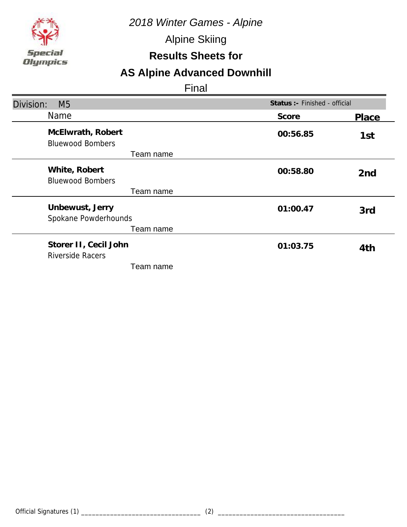

Alpine Skiing

### **Results Sheets for**

# **AS Alpine Advanced Downhill**

| Division:<br>M <sub>5</sub>                  | Status :- Finished - official |                 |
|----------------------------------------------|-------------------------------|-----------------|
| Name                                         | Score                         | Place           |
| McElwrath, Robert<br><b>Bluewood Bombers</b> | 00:56.85                      | 1st             |
| Team name                                    |                               |                 |
| White, Robert<br><b>Bluewood Bombers</b>     | 00:58.80                      | 2 <sub>nd</sub> |
| Team name                                    |                               |                 |
| Unbewust, Jerry<br>Spokane Powderhounds      | 01:00.47                      | 3rd             |
| Team name                                    |                               |                 |
| Storer II, Cecil John<br>Riverside Racers    | 01:03.75                      | 4th             |
| Team name                                    |                               |                 |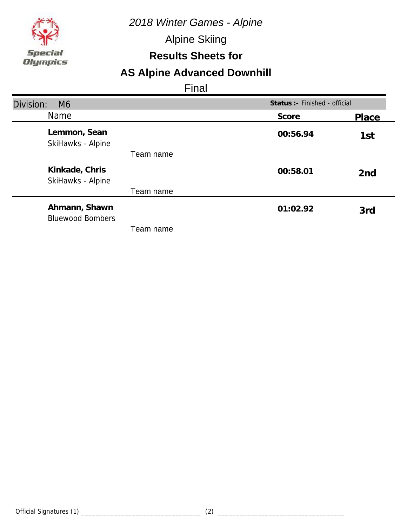

Alpine Skiing

### **Results Sheets for**

# **AS Alpine Advanced Downhill**

| Division:<br>M <sub>6</sub>              |          | Status :- Finished - official |  |
|------------------------------------------|----------|-------------------------------|--|
| <b>Name</b>                              | Score    | Place                         |  |
| Lemmon, Sean<br>SkiHawks - Alpine        | 00:56.94 | 1st                           |  |
| Team name                                |          |                               |  |
| Kinkade, Chris<br>SkiHawks - Alpine      | 00:58.01 | 2 <sub>nd</sub>               |  |
| Team name                                |          |                               |  |
| Ahmann, Shawn<br><b>Bluewood Bombers</b> | 01:02.92 | 3rd                           |  |
| Team name                                |          |                               |  |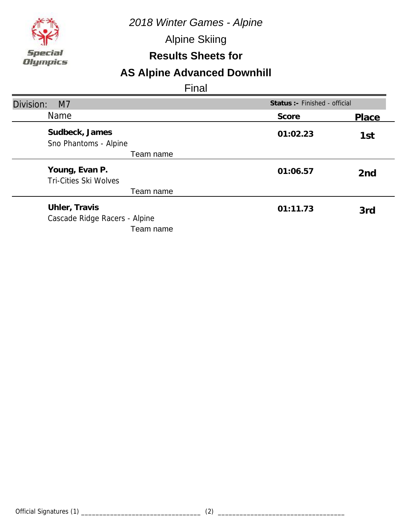

Alpine Skiing

### **Results Sheets for**

# **AS Alpine Advanced Downhill**

| Division:<br>M <sub>7</sub>                                 |          | Status : - Finished - official |  |
|-------------------------------------------------------------|----------|--------------------------------|--|
| Name                                                        | Score    | Place                          |  |
| Sudbeck, James<br>Sno Phantoms - Alpine                     | 01:02.23 | 1st                            |  |
| Team name                                                   |          |                                |  |
| Young, Evan P.<br><b>Tri-Cities Ski Wolves</b>              | 01:06.57 | 2 <sub>nd</sub>                |  |
| Team name                                                   |          |                                |  |
| Uhler, Travis<br>Cascade Ridge Racers - Alpine<br>Team name | 01:11.73 | 3rd                            |  |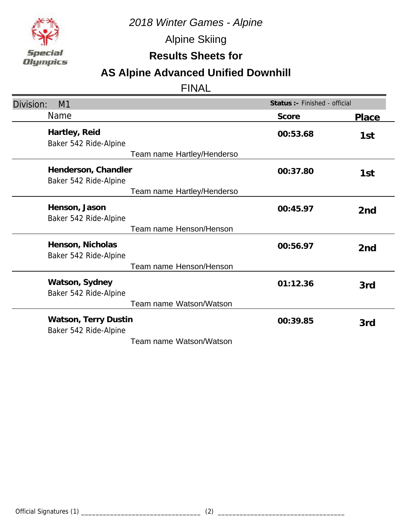

Alpine Skiing

**Results Sheets for**

# **AS Alpine Advanced Unified Downhill**

| Division:<br>M1                               | Status :- Finished - official |                 |
|-----------------------------------------------|-------------------------------|-----------------|
| Name                                          | Score                         | Place           |
| Hartley, Reid<br>Baker 542 Ride-Alpine        | 00:53.68                      | 1st             |
| Team name Hartley/Henderso                    |                               |                 |
| Henderson, Chandler<br>Baker 542 Ride-Alpine  | 00:37.80                      | 1st             |
| Team name Hartley/Henderso                    |                               |                 |
| Henson, Jason<br>Baker 542 Ride-Alpine        | 00:45.97                      | 2 <sub>nd</sub> |
| Team name Henson/Henson                       |                               |                 |
| Henson, Nicholas<br>Baker 542 Ride-Alpine     | 00:56.97                      | 2nd             |
| Team name Henson/Henson                       |                               |                 |
| Watson, Sydney<br>Baker 542 Ride-Alpine       | 01:12.36                      | 3rd             |
| Team name Watson/Watson                       |                               |                 |
| Watson, Terry Dustin<br>Baker 542 Ride-Alpine | 00:39.85                      | 3rd             |
| Team name Watson/Watson                       |                               |                 |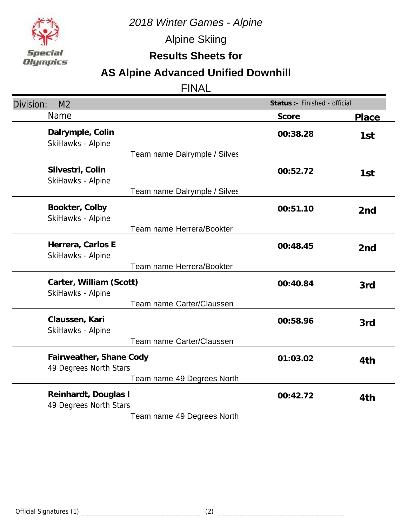

Alpine Skiing

**Results Sheets for**

# **AS Alpine Advanced Unified Downhill**

| M <sub>2</sub><br>Division:                                           | Status :- Finished - official |                 |
|-----------------------------------------------------------------------|-------------------------------|-----------------|
| <b>Name</b>                                                           | Score                         | <b>Place</b>    |
| Dalrymple, Colin<br>SkiHawks - Alpine<br>Team name Dalrymple / Silves | 00:38.28                      | 1st             |
| Silvestri, Colin<br>SkiHawks - Alpine<br>Team name Dalrymple / Silves | 00:52.72                      | 1st             |
| Bookter, Colby<br>SkiHawks - Alpine                                   | 00:51.10                      | 2 <sub>nd</sub> |
| Team name Herrera/Bookter                                             |                               |                 |
| Herrera, Carlos E<br>SkiHawks - Alpine                                | 00:48.45                      | 2 <sub>nd</sub> |
| Team name Herrera/Bookter                                             |                               |                 |
| Carter, William (Scott)<br>SkiHawks - Alpine                          | 00:40.84                      | 3rd             |
| Team name Carter/Claussen                                             |                               |                 |
| Claussen, Kari<br>SkiHawks - Alpine                                   | 00:58.96                      | 3rd             |
| Team name Carter/Claussen                                             |                               |                 |
| Fairweather, Shane Cody<br>49 Degrees North Stars                     | 01:03.02                      | 4th             |
| Team name 49 Degrees North                                            |                               |                 |
| Reinhardt, Douglas I<br>49 Degrees North Stars                        | 00:42.72                      | 4th             |
| Team name 49 Degrees North                                            |                               |                 |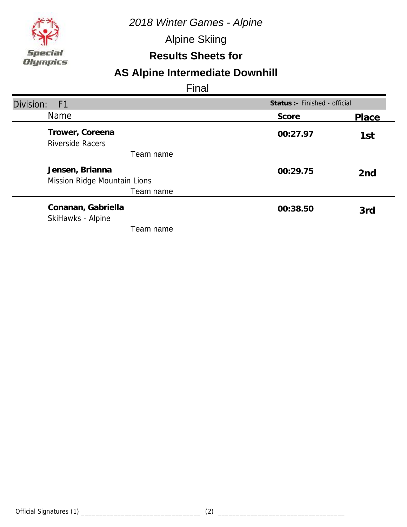

Alpine Skiing

### **Results Sheets for**

# **AS Alpine Intermediate Downhill**

| Division:<br>F1                                 |          | Status :- Finished - official |  |
|-------------------------------------------------|----------|-------------------------------|--|
| <b>Name</b>                                     | Score    | Place                         |  |
| Trower, Coreena<br><b>Riverside Racers</b>      | 00:27.97 | 1st                           |  |
| Team name                                       |          |                               |  |
| Jensen, Brianna<br>Mission Ridge Mountain Lions | 00:29.75 | 2 <sub>nd</sub>               |  |
| Team name                                       |          |                               |  |
| Conanan, Gabriella<br>SkiHawks - Alpine         | 00:38.50 | 3rd                           |  |
| Team name                                       |          |                               |  |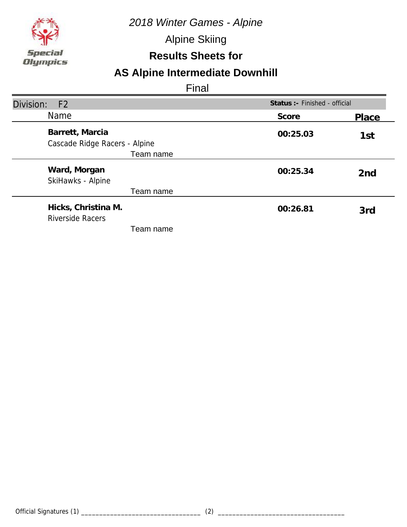

Alpine Skiing

### **Results Sheets for**

# **AS Alpine Intermediate Downhill**

| Division:<br>F <sub>2</sub>                      |          | Status : - Finished - official |  |
|--------------------------------------------------|----------|--------------------------------|--|
| <b>Name</b>                                      | Score    | Place                          |  |
| Barrett, Marcia<br>Cascade Ridge Racers - Alpine | 00:25.03 | 1st                            |  |
| Team name                                        |          |                                |  |
| Ward, Morgan<br>SkiHawks - Alpine                | 00:25.34 | 2 <sub>nd</sub>                |  |
| Team name                                        |          |                                |  |
| Hicks, Christina M.<br><b>Riverside Racers</b>   | 00:26.81 | 3rd                            |  |
| Team name                                        |          |                                |  |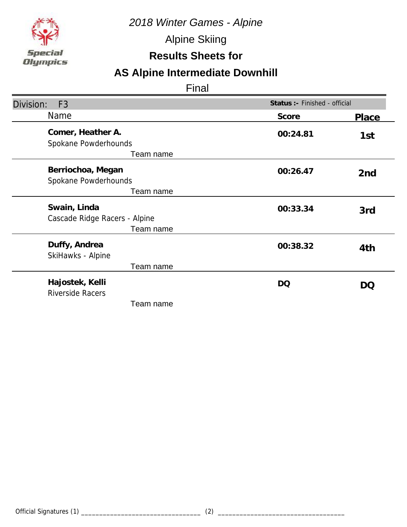

Alpine Skiing

### **Results Sheets for**

# **AS Alpine Intermediate Downhill**

| Division:<br>F <sub>3</sub>                                | Status :- Finished - official |        |
|------------------------------------------------------------|-------------------------------|--------|
| Name                                                       | Score                         | Place  |
| Comer, Heather A.<br>Spokane Powderhounds<br>Team name     | 00:24.81                      | 1st    |
| Berriochoa, Megan<br>Spokane Powderhounds<br>Team name     | 00:26.47                      | 2nd    |
| Swain, Linda<br>Cascade Ridge Racers - Alpine<br>Team name | 00:33.34                      | 3rd    |
| Duffy, Andrea<br>SkiHawks - Alpine<br>Team name            | 00:38.32                      | 4th    |
| Hajostek, Kelli<br><b>Riverside Racers</b><br>Team name    | <b>DQ</b>                     | $\cup$ |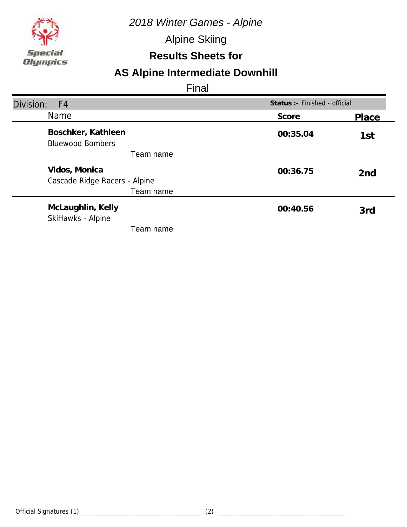

Alpine Skiing

### **Results Sheets for**

# **AS Alpine Intermediate Downhill**

| Division:<br>F4                                |          | Status : - Finished - official |  |
|------------------------------------------------|----------|--------------------------------|--|
| <b>Name</b>                                    | Score    | Place                          |  |
| Boschker, Kathleen<br><b>Bluewood Bombers</b>  | 00:35.04 | 1st                            |  |
| Team name                                      |          |                                |  |
| Vidos, Monica<br>Cascade Ridge Racers - Alpine | 00:36.75 | 2 <sub>nd</sub>                |  |
| Team name                                      |          |                                |  |
| McLaughlin, Kelly<br>SkiHawks - Alpine         | 00:40.56 | 3rd                            |  |
| Team name                                      |          |                                |  |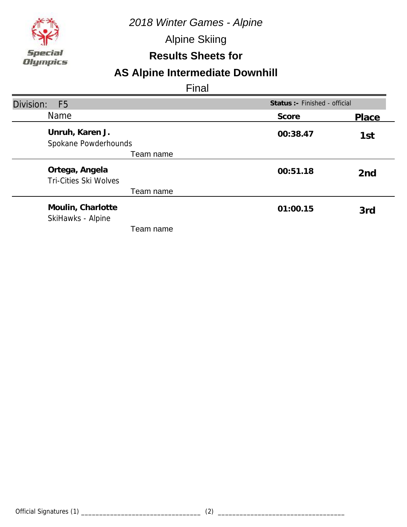

Alpine Skiing

### **Results Sheets for**

# **AS Alpine Intermediate Downhill**

| Division:<br>F <sub>5</sub>                    |          | Status :- Finished - official |  |
|------------------------------------------------|----------|-------------------------------|--|
| <b>Name</b>                                    | Score    | Place                         |  |
| Unruh, Karen J.<br>Spokane Powderhounds        | 00:38.47 | 1st                           |  |
| Team name                                      |          |                               |  |
| Ortega, Angela<br><b>Tri-Cities Ski Wolves</b> | 00:51.18 | 2 <sub>nd</sub>               |  |
| Team name                                      |          |                               |  |
| Moulin, Charlotte<br>SkiHawks - Alpine         | 01:00.15 | 3rd                           |  |
| Team name                                      |          |                               |  |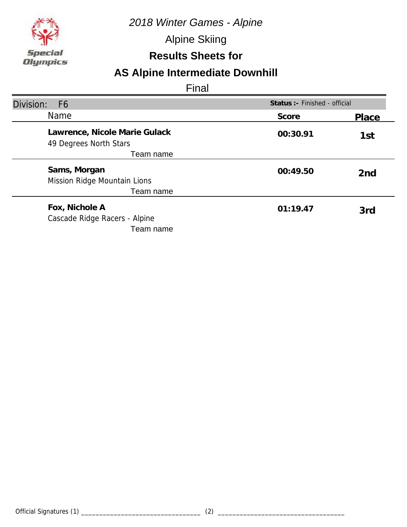

Alpine Skiing

### **Results Sheets for**

# **AS Alpine Intermediate Downhill**

| Division:<br>F <sub>6</sub>                                  |          | Status : - Finished - official |  |
|--------------------------------------------------------------|----------|--------------------------------|--|
| <b>Name</b>                                                  | Score    | Place                          |  |
| Lawrence, Nicole Marie Gulack<br>49 Degrees North Stars      | 00:30.91 | 1st                            |  |
| Team name                                                    |          |                                |  |
| Sams, Morgan                                                 | 00:49.50 | 2 <sub>nd</sub>                |  |
| Mission Ridge Mountain Lions<br>Team name                    |          |                                |  |
| Fox, Nichole A<br>Cascade Ridge Racers - Alpine<br>Team name | 01:19.47 | 3rd                            |  |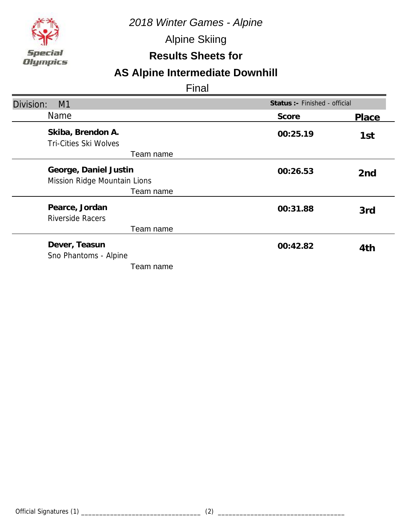

Alpine Skiing

### **Results Sheets for**

# **AS Alpine Intermediate Downhill**

| Division:<br>M1                                                    | Status :- Finished - official |                 |
|--------------------------------------------------------------------|-------------------------------|-----------------|
| Name                                                               | Score                         | Place           |
| Skiba, Brendon A.<br>Tri-Cities Ski Wolves<br>Team name            | 00:25.19                      | 1st             |
| George, Daniel Justin<br>Mission Ridge Mountain Lions<br>Team name | 00:26.53                      | 2 <sub>nd</sub> |
| Pearce, Jordan<br><b>Riverside Racers</b><br>Team name             | 00:31.88                      | 3rd             |
| Dever, Teasun<br>Sno Phantoms - Alpine<br>Team name                | 00:42.82                      | 4th             |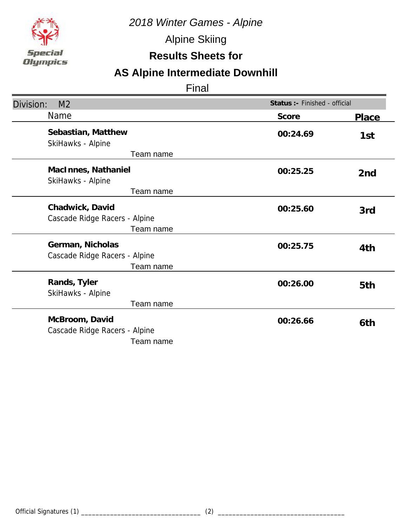

Alpine Skiing

### **Results Sheets for**

# **AS Alpine Intermediate Downhill**

| Division:<br>M <sub>2</sub>                                    | Status :- Finished - official |                 |
|----------------------------------------------------------------|-------------------------------|-----------------|
| <b>Name</b>                                                    | Score                         | <b>Place</b>    |
| Sebastian, Matthew<br>SkiHawks - Alpine                        | 00:24.69                      | 1st             |
| Team name<br>MacInnes, Nathaniel<br>SkiHawks - Alpine          | 00:25.25                      | 2 <sub>nd</sub> |
| Team name                                                      |                               |                 |
| Chadwick, David<br>Cascade Ridge Racers - Alpine<br>Team name  | 00:25.60                      | 3rd             |
| German, Nicholas<br>Cascade Ridge Racers - Alpine<br>Team name | 00:25.75                      | 4th             |
| Rands, Tyler<br>SkiHawks - Alpine<br>Team name                 | 00:26.00                      | 5th             |
| McBroom, David<br>Cascade Ridge Racers - Alpine<br>Team name   | 00:26.66                      | 6th             |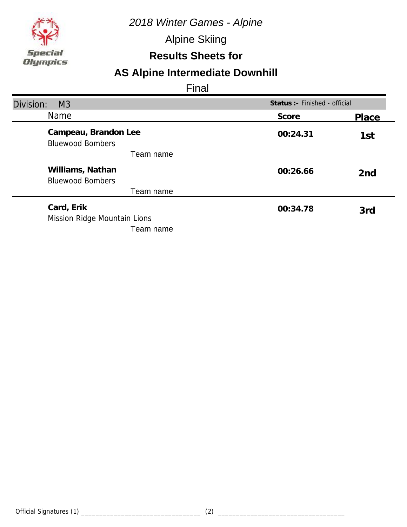

Alpine Skiing

### **Results Sheets for**

# **AS Alpine Intermediate Downhill**

| Division:<br>M <sub>3</sub>                     |          | Status : - Finished - official |  |
|-------------------------------------------------|----------|--------------------------------|--|
| <b>Name</b>                                     | Score    | Place                          |  |
| Campeau, Brandon Lee<br><b>Bluewood Bombers</b> | 00:24.31 | 1st                            |  |
| Team name                                       |          |                                |  |
| Williams, Nathan<br><b>Bluewood Bombers</b>     | 00:26.66 | 2 <sub>nd</sub>                |  |
| Team name                                       |          |                                |  |
| Card, Erik<br>Mission Ridge Mountain Lions      | 00:34.78 | 3rd                            |  |
| Team name                                       |          |                                |  |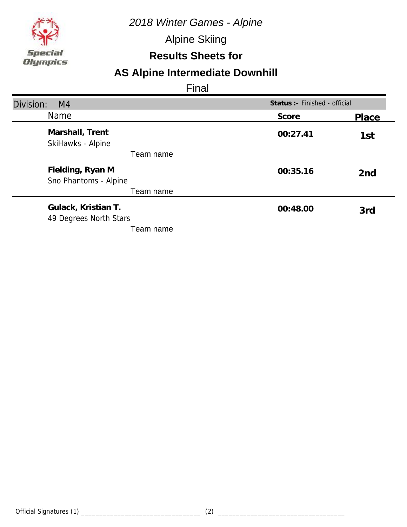

Alpine Skiing

### **Results Sheets for**

# **AS Alpine Intermediate Downhill**

| Division:<br>M <sub>4</sub>                   |          | Status :- Finished - official |  |
|-----------------------------------------------|----------|-------------------------------|--|
| Name                                          | Score    | Place                         |  |
| Marshall, Trent<br>SkiHawks - Alpine          | 00:27.41 | 1st                           |  |
| Team name                                     |          |                               |  |
| Fielding, Ryan M<br>Sno Phantoms - Alpine     | 00:35.16 | 2 <sub>nd</sub>               |  |
| Team name                                     |          |                               |  |
| Gulack, Kristian T.<br>49 Degrees North Stars | 00:48.00 | 3rd                           |  |
| Team name                                     |          |                               |  |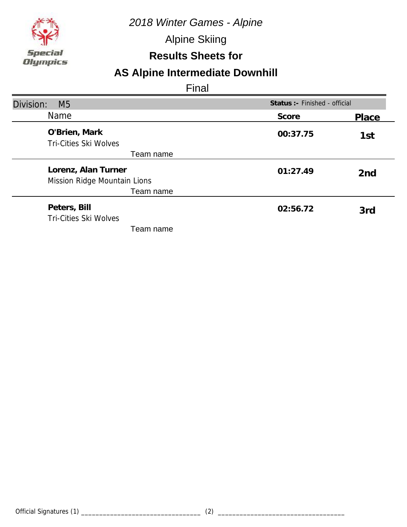

Alpine Skiing

### **Results Sheets for**

# **AS Alpine Intermediate Downhill**

| Division:<br>M <sub>5</sub>                         |          | Status :- Finished - official |  |
|-----------------------------------------------------|----------|-------------------------------|--|
| <b>Name</b>                                         | Score    | Place                         |  |
| O'Brien, Mark<br><b>Tri-Cities Ski Wolves</b>       | 00:37.75 | 1st                           |  |
| Team name                                           |          |                               |  |
| Lorenz, Alan Turner<br>Mission Ridge Mountain Lions | 01:27.49 | 2 <sub>nd</sub>               |  |
| Team name                                           |          |                               |  |
| Peters, Bill<br><b>Tri-Cities Ski Wolves</b>        | 02:56.72 | 3rd                           |  |
| Team name                                           |          |                               |  |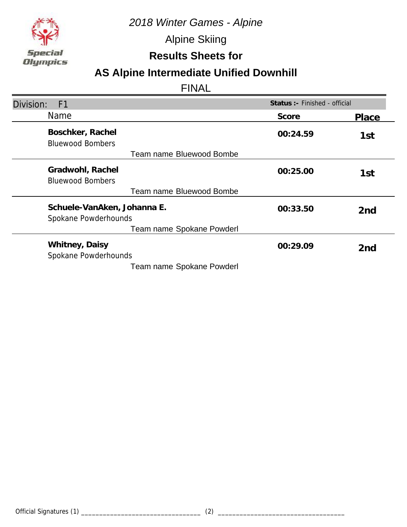

Alpine Skiing

**Results Sheets for**

# **AS Alpine Intermediate Unified Downhill**

| Status : - Finished - official<br>Division:<br>F <sub>1</sub> |          |                 |
|---------------------------------------------------------------|----------|-----------------|
| <b>Name</b>                                                   | Score    | Place           |
| Boschker, Rachel<br><b>Bluewood Bombers</b>                   | 00:24.59 | 1st             |
| Team name Bluewood Bombe                                      |          |                 |
| Gradwohl, Rachel<br><b>Bluewood Bombers</b>                   | 00:25.00 | 1st             |
| Team name Bluewood Bombe                                      |          |                 |
| Schuele-VanAken, Johanna E.<br>Spokane Powderhounds           | 00:33.50 | 2 <sub>nd</sub> |
| Team name Spokane Powderl                                     |          |                 |
| Whitney, Daisy<br>Spokane Powderhounds                        | 00:29.09 | 2 <sub>nd</sub> |
| Team name Spokane Powderl                                     |          |                 |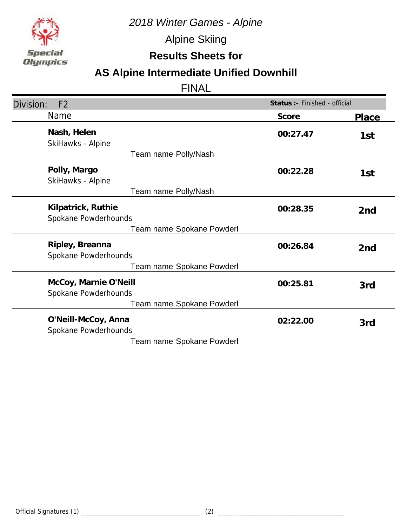

Alpine Skiing

**Results Sheets for**

# **AS Alpine Intermediate Unified Downhill**

| Status : - Finished - official<br>Division:<br>F <sub>2</sub> |          |                 |
|---------------------------------------------------------------|----------|-----------------|
| Name                                                          | Score    | <b>Place</b>    |
| Nash, Helen<br>SkiHawks - Alpine                              | 00:27.47 | 1st             |
| Team name Polly/Nash                                          |          |                 |
| Polly, Margo<br>SkiHawks - Alpine                             | 00:22.28 | 1st             |
| Team name Polly/Nash                                          |          |                 |
| Kilpatrick, Ruthie<br>Spokane Powderhounds                    | 00:28.35 | 2 <sub>nd</sub> |
| Team name Spokane Powderl                                     |          |                 |
| Ripley, Breanna<br>Spokane Powderhounds                       | 00:26.84 | 2 <sub>nd</sub> |
| Team name Spokane Powderl                                     |          |                 |
| McCoy, Marnie O'Neill<br>Spokane Powderhounds                 | 00:25.81 | 3rd             |
| Team name Spokane Powderl                                     |          |                 |
| O'Neill-McCoy, Anna<br>Spokane Powderhounds                   | 02:22.00 | 3rd             |
| Team name Spokane Powderl                                     |          |                 |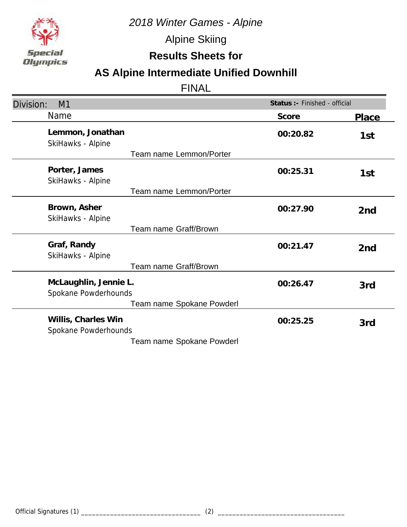

Alpine Skiing

**Results Sheets for**

# **AS Alpine Intermediate Unified Downhill**

| Division:<br>M1                               | Status :- Finished - official |                 |
|-----------------------------------------------|-------------------------------|-----------------|
| <b>Name</b>                                   | Score                         | Place           |
| Lemmon, Jonathan<br>SkiHawks - Alpine         | 00:20.82                      | 1st             |
| Team name Lemmon/Porter                       |                               |                 |
| Porter, James<br>SkiHawks - Alpine            | 00:25.31                      | 1st             |
| Team name Lemmon/Porter                       |                               |                 |
| Brown, Asher<br>SkiHawks - Alpine             | 00:27.90                      | 2 <sub>nd</sub> |
| Team name Graff/Brown                         |                               |                 |
| Graf, Randy<br>SkiHawks - Alpine              | 00:21.47                      | 2 <sub>nd</sub> |
| Team name Graff/Brown                         |                               |                 |
| McLaughlin, Jennie L.<br>Spokane Powderhounds | 00:26.47                      | 3rd             |
| Team name Spokane Powderl                     |                               |                 |
| Willis, Charles Win<br>Spokane Powderhounds   | 00:25.25                      | 3rd             |
| Team name Spokane Powderl                     |                               |                 |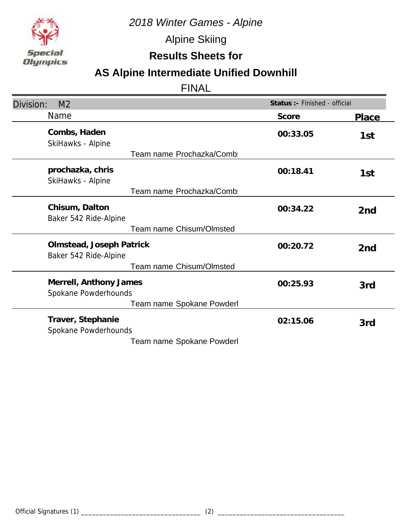

Alpine Skiing

**Results Sheets for**

# **AS Alpine Intermediate Unified Downhill**

| Division:<br>M <sub>2</sub>                       | Status :- Finished - official |                 |
|---------------------------------------------------|-------------------------------|-----------------|
| Name                                              | Score                         | Place           |
| Combs, Haden<br>SkiHawks - Alpine                 | 00:33.05                      | 1st             |
| Team name Prochazka/Comb                          |                               |                 |
| prochazka, chris<br>SkiHawks - Alpine             | 00:18.41                      | 1st             |
| Team name Prochazka/Comb                          |                               |                 |
| Chisum, Dalton<br>Baker 542 Ride-Alpine           | 00:34.22                      | 2 <sub>nd</sub> |
| <b>Team name Chisum/Olmsted</b>                   |                               |                 |
| Olmstead, Joseph Patrick<br>Baker 542 Ride-Alpine | 00:20.72                      | 2 <sub>nd</sub> |
| Team name Chisum/Olmsted                          |                               |                 |
| Merrell, Anthony James<br>Spokane Powderhounds    | 00:25.93                      | 3rd             |
| Team name Spokane Powderl                         |                               |                 |
| Traver, Stephanie<br>Spokane Powderhounds         | 02:15.06                      | 3rd             |
| Team name Spokane Powderl                         |                               |                 |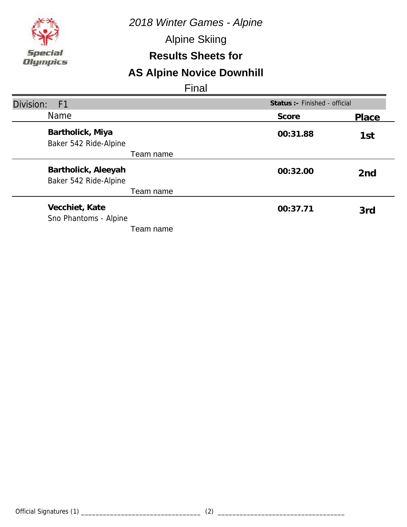*2018 Winter Games - Alpine*

Alpine Skiing

### **Results Sheets for**

# **AS Alpine Novice Downhill**

| Division:<br>F <sub>1</sub>                  | Status :- Finished - official |                 |
|----------------------------------------------|-------------------------------|-----------------|
| <b>Name</b>                                  | Score                         | Place           |
| Bartholick, Miya<br>Baker 542 Ride-Alpine    | 00:31.88                      | 1st             |
| Team name                                    |                               |                 |
| Bartholick, Aleeyah<br>Baker 542 Ride-Alpine | 00:32.00                      | 2 <sub>nd</sub> |
| Team name                                    |                               |                 |
| Vecchiet, Kate<br>Sno Phantoms - Alpine      | 00:37.71                      | 3rd             |
| Team name                                    |                               |                 |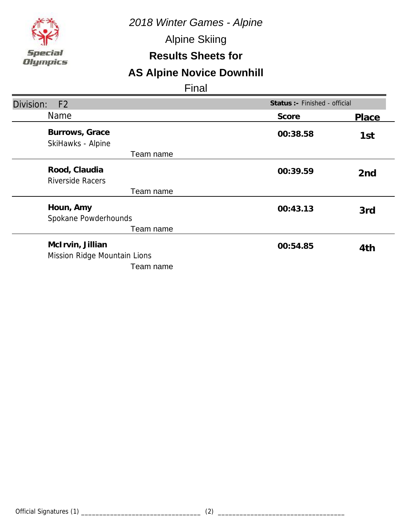*2018 Winter Games - Alpine*

Alpine Skiing

### **Results Sheets for**

# **AS Alpine Novice Downhill**

| Status :- Finished - official<br>Division:<br>F <sub>2</sub>  |          |                 |
|---------------------------------------------------------------|----------|-----------------|
| Name                                                          | Score    | Place           |
| Burrows, Grace<br>SkiHawks - Alpine                           | 00:38.58 | 1st             |
| Team name                                                     |          |                 |
| Rood, Claudia<br><b>Riverside Racers</b>                      | 00:39.59 | 2 <sub>nd</sub> |
| Team name                                                     |          |                 |
| Houn, Amy<br>Spokane Powderhounds                             | 00:43.13 | 3rd             |
| Team name                                                     |          |                 |
| McIrvin, Jillian<br>Mission Ridge Mountain Lions<br>Team name | 00:54.85 | 4th             |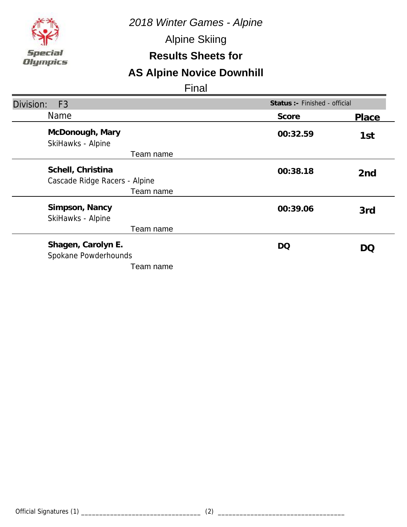*2018 Winter Games - Alpine*

Alpine Skiing

### **Results Sheets for**

# **AS Alpine Novice Downhill**

| Division:<br>F <sub>3</sub>                                     | Status :- Finished - official |                 |
|-----------------------------------------------------------------|-------------------------------|-----------------|
| Name                                                            | Score                         | Place           |
| McDonough, Mary<br>SkiHawks - Alpine                            | 00:32.59                      | 1st             |
| Team name                                                       |                               |                 |
| Schell, Christina<br>Cascade Ridge Racers - Alpine<br>Team name | 00:38.18                      | 2 <sub>nd</sub> |
| Simpson, Nancy<br>SkiHawks - Alpine<br>Team name                | 00:39.06                      | 3rd             |
| Shagen, Carolyn E.<br>Spokane Powderhounds<br>Team name         | DQ                            | DO              |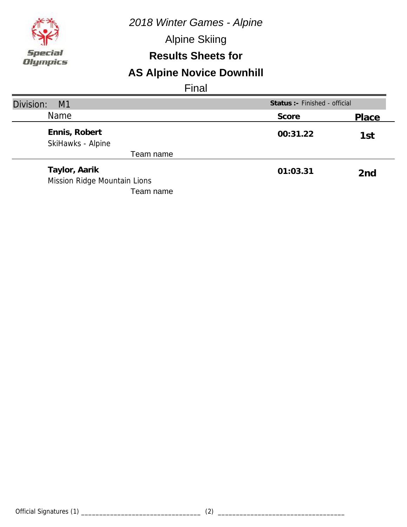*2018 Winter Games - Alpine*

Alpine Skiing

### **Results Sheets for**

# **AS Alpine Novice Downhill**

| Division:<br>M1                               | Status : - Finished - official |                 |
|-----------------------------------------------|--------------------------------|-----------------|
| <b>Name</b>                                   | Score                          | Place           |
| Ennis, Robert<br>SkiHawks - Alpine            | 00:31.22                       | 1st             |
| Team name                                     |                                |                 |
| Taylor, Aarik<br>Mission Ridge Mountain Lions | 01:03.31                       | 2 <sub>nd</sub> |
| Team name                                     |                                |                 |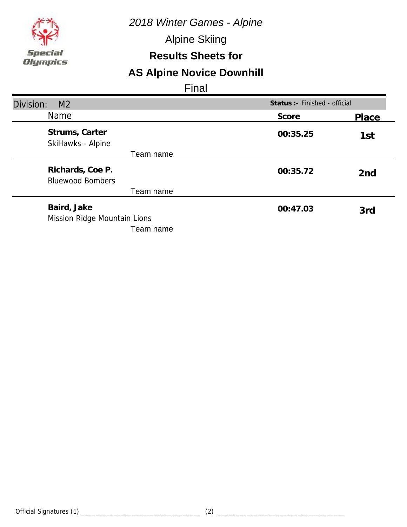*2018 Winter Games - Alpine*

Alpine Skiing

### **Results Sheets for**

# **AS Alpine Novice Downhill**

| Division:<br>M <sub>2</sub>                              |          | Status :- Finished - official |  |
|----------------------------------------------------------|----------|-------------------------------|--|
| <b>Name</b>                                              | Score    | Place                         |  |
| Strums, Carter<br>SkiHawks - Alpine                      | 00:35.25 | 1st                           |  |
| Team name                                                |          |                               |  |
| Richards, Coe P.<br><b>Bluewood Bombers</b>              | 00:35.72 | 2 <sub>nd</sub>               |  |
| Team name                                                |          |                               |  |
| Baird, Jake<br>Mission Ridge Mountain Lions<br>Team name | 00:47.03 | 3rd                           |  |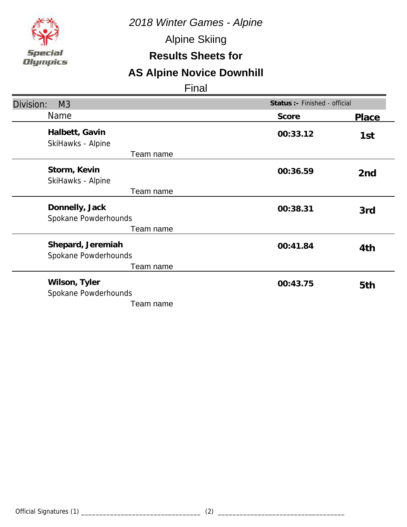*2018 Winter Games - Alpine*

Alpine Skiing

### **Results Sheets for**

# **AS Alpine Novice Downhill**

| Division:<br>M <sub>3</sub>               | Status :- Finished - official |                 |
|-------------------------------------------|-------------------------------|-----------------|
| <b>Name</b>                               | Score                         | Place           |
| Halbett, Gavin<br>SkiHawks - Alpine       | 00:33.12                      | 1st             |
| Team name                                 |                               |                 |
| Storm, Kevin<br>SkiHawks - Alpine         | 00:36.59                      | 2 <sub>nd</sub> |
| Team name                                 |                               |                 |
| Donnelly, Jack<br>Spokane Powderhounds    | 00:38.31                      | 3rd             |
| Team name                                 |                               |                 |
| Shepard, Jeremiah<br>Spokane Powderhounds | 00:41.84                      | 4th             |
| Team name                                 |                               |                 |
| Wilson, Tyler<br>Spokane Powderhounds     | 00:43.75                      | 5th             |
| Team name                                 |                               |                 |